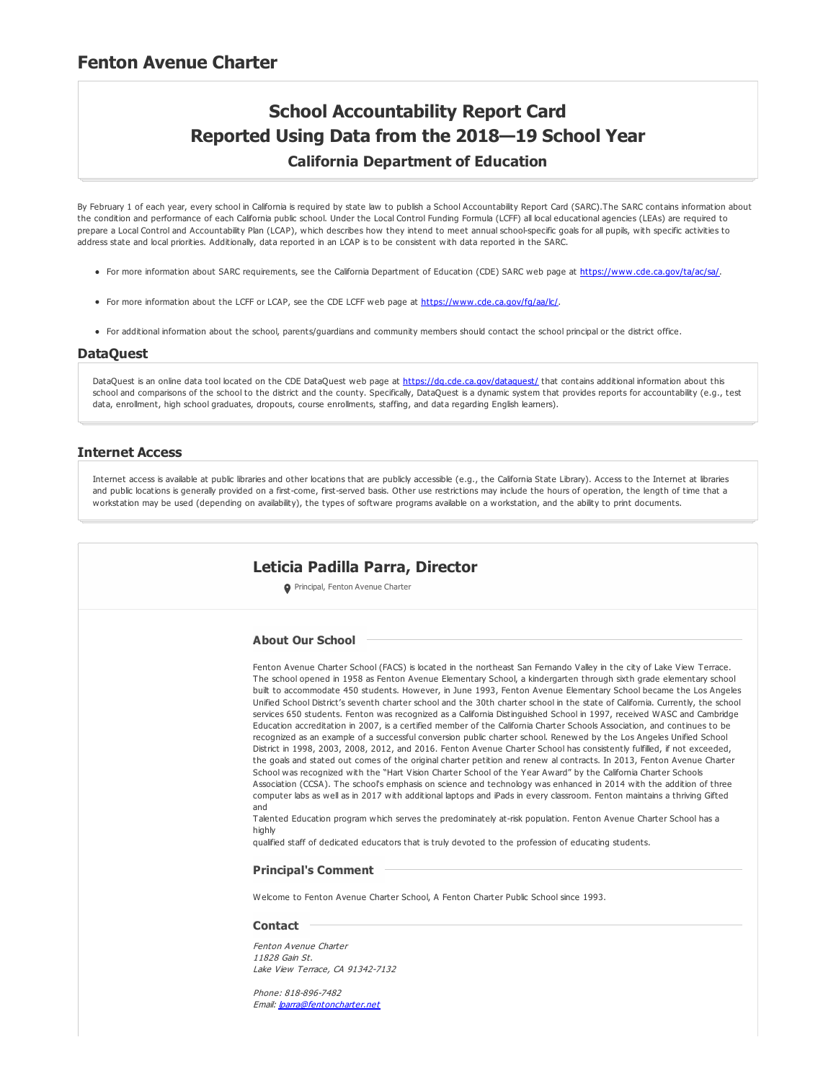## **Fenton Avenue Charter**

# **School Accountability Report Card Reported Using Data from the 2018—19 School Year**

### **California Department of Education**

By February 1 of each year, every school in California is required by state law to publish a School Accountability Report Card (SARC).The SARC contains information about the condition and performance of each California public school. Under the Local Control Funding Formula (LCFF) all local educational agencies (LEAs) are required to prepare a Local Control and Accountability Plan (LCAP), which describes how they intend to meet annual school-specific goals for all pupils, with specific activities to address state and local priorities. Additionally, data reported in an LCAP is to be consistent with data reported in the SARC.

- For more information about SARC requirements, see the California Department of Education (CDE) SARC web page at <https://www.cde.ca.gov/ta/ac/sa/>.
- For more information about the LCFF or LCAP, see the CDE LCFF web page at <https://www.cde.ca.gov/fg/aa/lc/>.
- For additional information about the school, parents/guardians and community members should contact the school principal or the district office.

### **DataQuest**

DataQuest is an online data tool located on the CDE DataQuest web page at <https://dq.cde.ca.gov/dataquest/> that contains additional information about this school and comparisons of the school to the district and the county. Specifically, DataQuest is a dynamic system that provides reports for accountability (e.g., test data, enrollment, high school graduates, dropouts, course enrollments, staffing, and data regarding English learners).

### **Internet Access**

Internet access is available at public libraries and other locations that are publicly accessible (e.g., the California State Library). Access to the Internet at libraries and public locations is generally provided on a first-come, first-served basis. Other use restrictions may include the hours of operation, the length of time that a workstation may be used (depending on availability), the types of software programs available on a workstation, and the ability to print documents.

| Leticia Padilla Parra, Director                                                                                                                                                                                                                                                                                                                                                                                                                                                                                                                                                                                                                                                                                                                                                                                                                                                                                                                                                                                                                                                                                                                                                                                                                                                                                                                                                                                                                                                                                                                                                                                                                                                                                                                            |
|------------------------------------------------------------------------------------------------------------------------------------------------------------------------------------------------------------------------------------------------------------------------------------------------------------------------------------------------------------------------------------------------------------------------------------------------------------------------------------------------------------------------------------------------------------------------------------------------------------------------------------------------------------------------------------------------------------------------------------------------------------------------------------------------------------------------------------------------------------------------------------------------------------------------------------------------------------------------------------------------------------------------------------------------------------------------------------------------------------------------------------------------------------------------------------------------------------------------------------------------------------------------------------------------------------------------------------------------------------------------------------------------------------------------------------------------------------------------------------------------------------------------------------------------------------------------------------------------------------------------------------------------------------------------------------------------------------------------------------------------------------|
| Principal, Fenton Avenue Charter                                                                                                                                                                                                                                                                                                                                                                                                                                                                                                                                                                                                                                                                                                                                                                                                                                                                                                                                                                                                                                                                                                                                                                                                                                                                                                                                                                                                                                                                                                                                                                                                                                                                                                                           |
| <b>About Our School</b>                                                                                                                                                                                                                                                                                                                                                                                                                                                                                                                                                                                                                                                                                                                                                                                                                                                                                                                                                                                                                                                                                                                                                                                                                                                                                                                                                                                                                                                                                                                                                                                                                                                                                                                                    |
|                                                                                                                                                                                                                                                                                                                                                                                                                                                                                                                                                                                                                                                                                                                                                                                                                                                                                                                                                                                                                                                                                                                                                                                                                                                                                                                                                                                                                                                                                                                                                                                                                                                                                                                                                            |
| Fenton Avenue Charter School (FACS) is located in the northeast San Fernando Valley in the city of Lake View Terrace.<br>The school opened in 1958 as Fenton Avenue Elementary School, a kindergarten through sixth grade elementary school<br>built to accommodate 450 students. However, in June 1993, Fenton Avenue Elementary School became the Los Angeles<br>Unified School District's seventh charter school and the 30th charter school in the state of California. Currently, the school<br>services 650 students. Fenton was recognized as a California Distinguished School in 1997, received WASC and Cambridge<br>Education accreditation in 2007, is a certified member of the California Charter Schools Association, and continues to be<br>recognized as an example of a successful conversion public charter school. Renewed by the Los Angeles Unified School<br>District in 1998, 2003, 2008, 2012, and 2016. Fenton Avenue Charter School has consistently fulfilled, if not exceeded,<br>the goals and stated out comes of the original charter petition and renew al contracts. In 2013, Fenton Avenue Charter<br>School was recognized with the "Hart Vision Charter School of the Year Award" by the California Charter Schools<br>Association (CCSA). The school's emphasis on science and technology was enhanced in 2014 with the addition of three<br>computer labs as well as in 2017 with additional laptops and iPads in every classroom. Fenton maintains a thriving Gifted<br>and<br>Talented Education program which serves the predominately at-risk population. Fenton Avenue Charter School has a<br>highly<br>qualified staff of dedicated educators that is truly devoted to the profession of educating students. |
| <b>Principal's Comment</b>                                                                                                                                                                                                                                                                                                                                                                                                                                                                                                                                                                                                                                                                                                                                                                                                                                                                                                                                                                                                                                                                                                                                                                                                                                                                                                                                                                                                                                                                                                                                                                                                                                                                                                                                 |
| Welcome to Fenton Avenue Charter School, A Fenton Charter Public School since 1993.                                                                                                                                                                                                                                                                                                                                                                                                                                                                                                                                                                                                                                                                                                                                                                                                                                                                                                                                                                                                                                                                                                                                                                                                                                                                                                                                                                                                                                                                                                                                                                                                                                                                        |
| <b>Contact</b>                                                                                                                                                                                                                                                                                                                                                                                                                                                                                                                                                                                                                                                                                                                                                                                                                                                                                                                                                                                                                                                                                                                                                                                                                                                                                                                                                                                                                                                                                                                                                                                                                                                                                                                                             |
| Fenton Avenue Charter<br>11828 Gain St.<br>Lake View Terrace, CA 91342-7132                                                                                                                                                                                                                                                                                                                                                                                                                                                                                                                                                                                                                                                                                                                                                                                                                                                                                                                                                                                                                                                                                                                                                                                                                                                                                                                                                                                                                                                                                                                                                                                                                                                                                |
| Phone: 818-896-7482<br>Email: Iparra@fentoncharter.net                                                                                                                                                                                                                                                                                                                                                                                                                                                                                                                                                                                                                                                                                                                                                                                                                                                                                                                                                                                                                                                                                                                                                                                                                                                                                                                                                                                                                                                                                                                                                                                                                                                                                                     |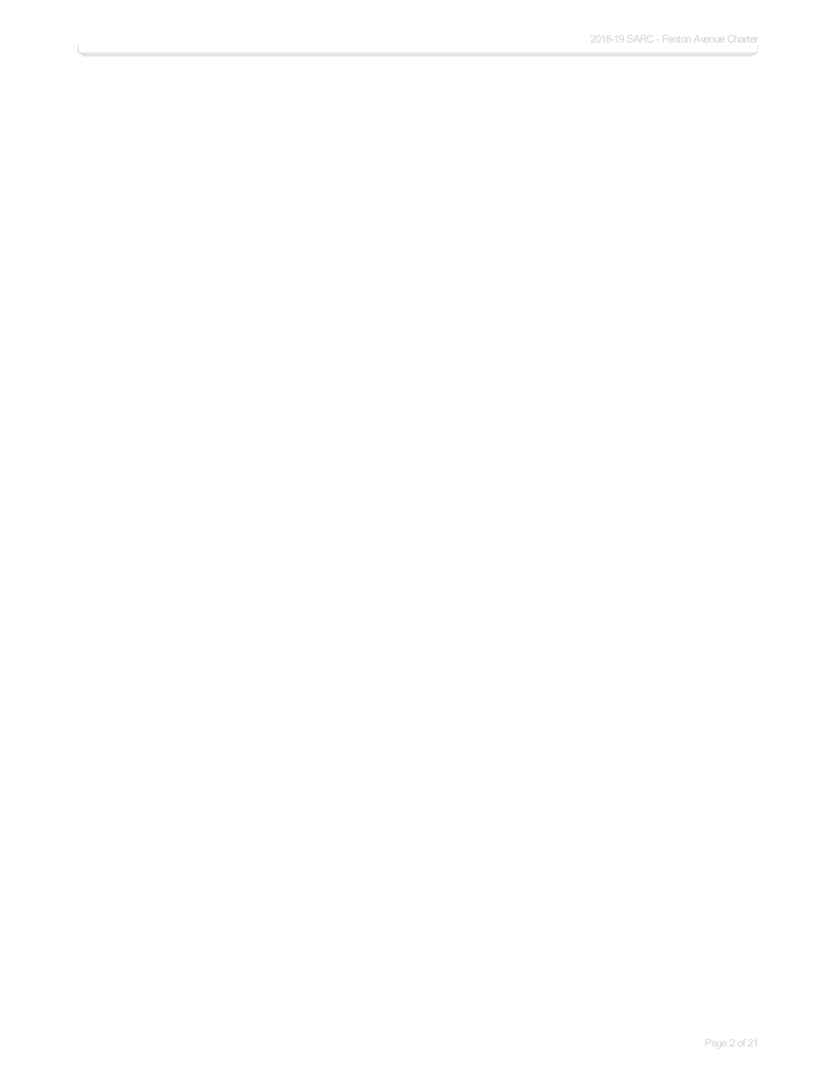t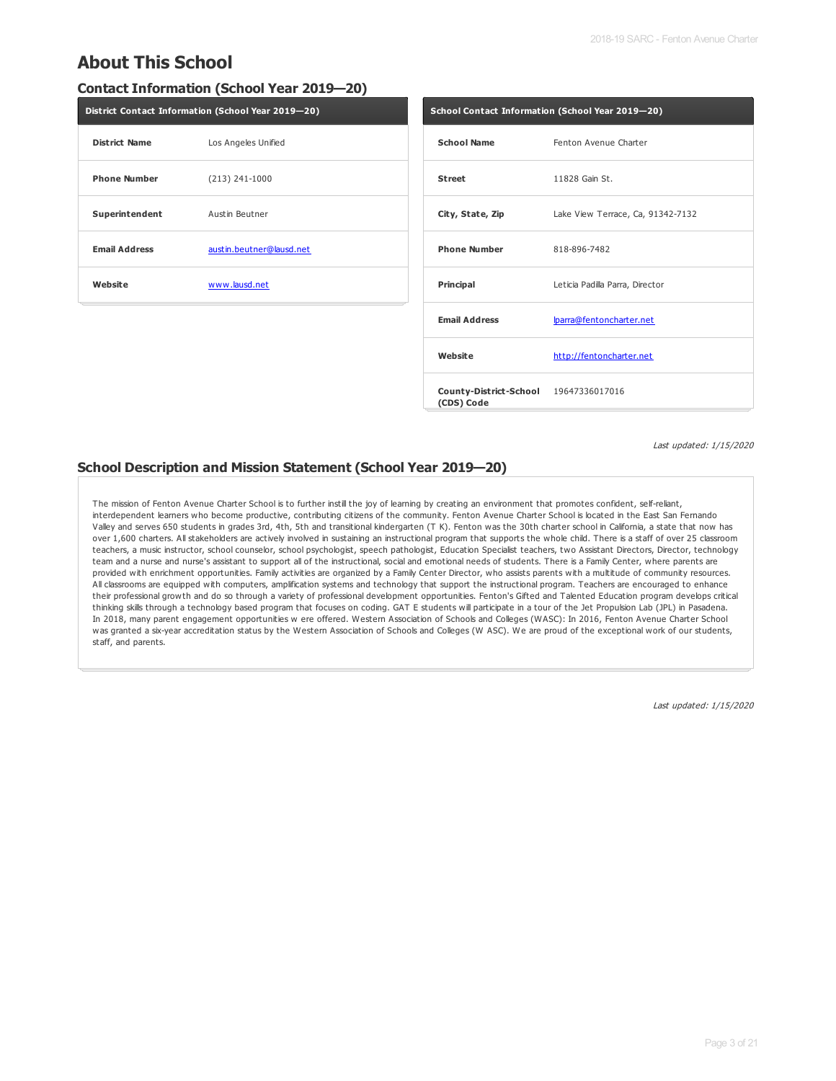## **About This School**

### **Contact Information (School Year 2019—20)**

| District Contact Information (School Year 2019-20) |                          |  |  |
|----------------------------------------------------|--------------------------|--|--|
| <b>District Name</b>                               | Los Angeles Unified      |  |  |
| <b>Phone Number</b>                                | $(213)$ 241-1000         |  |  |
| Superintendent                                     | Austin Beutner           |  |  |
| <b>Email Address</b>                               | austin.beutner@lausd.net |  |  |
| Website                                            | www.lausd.net            |  |  |
|                                                    |                          |  |  |

| School Contact Information (School Year 2019-20)    |                                   |  |  |  |
|-----------------------------------------------------|-----------------------------------|--|--|--|
| <b>School Name</b>                                  | Fenton Avenue Charter             |  |  |  |
| <b>Street</b>                                       | 11828 Gain St.                    |  |  |  |
| City, State, Zip                                    | Lake View Terrace, Ca, 91342-7132 |  |  |  |
| <b>Phone Number</b>                                 | 818-896-7482                      |  |  |  |
| Principal                                           | Leticia Padilla Parra, Director   |  |  |  |
| <b>Email Address</b>                                | lparra@fentoncharter.net          |  |  |  |
| Website                                             | http://fentoncharter.net          |  |  |  |
| County-District-School 19647336017016<br>(CDS) Code |                                   |  |  |  |

Last updated: 1/15/2020

### **School Description and Mission Statement (School Year 2019—20)**

The mission of Fenton Avenue Charter School is to further instill the joy of learning by creating an environment that promotes confident, self-reliant, interdependent learners who become productive, contributing citizens of the community. Fenton Avenue Charter School is located in the East San Fernando Valley and serves 650 students in grades 3rd, 4th, 5th and transitional kindergarten (T K). Fenton was the 30th charter school in California, a state that now has over 1,600 charters. All stakeholders are actively involved in sustaining an instructional program that supports the whole child. There is a staff of over 25 classroom teachers, a music instructor, school counselor, school psychologist, speech pathologist, Education Specialist teachers, two Assistant Directors, Director, technology team and a nurse and nurse's assistant to support all of the instructional, social and emotional needs of students. There is a Family Center, where parents are provided with enrichment opportunities. Family activities are organized by a Family Center Director, who assists parents with a multitude of community resources. All classrooms are equipped with computers, amplification systems and technology that support the instructional program. Teachers are encouraged to enhance their professional growth and do so through a variety of professional development opportunities. Fenton's Gifted and Talented Education program develops critical thinking skills through a technology based program that focuses on coding. GAT E students will participate in a tour of the Jet Propulsion Lab (JPL) in Pasadena. In 2018, many parent engagement opportunities w ere offered. Western Association of Schools and Colleges (WASC): In 2016, Fenton Avenue Charter School was granted a six-year accreditation status by the Western Association of Schools and Colleges (W ASC). We are proud of the exceptional work of our students, staff, and parents.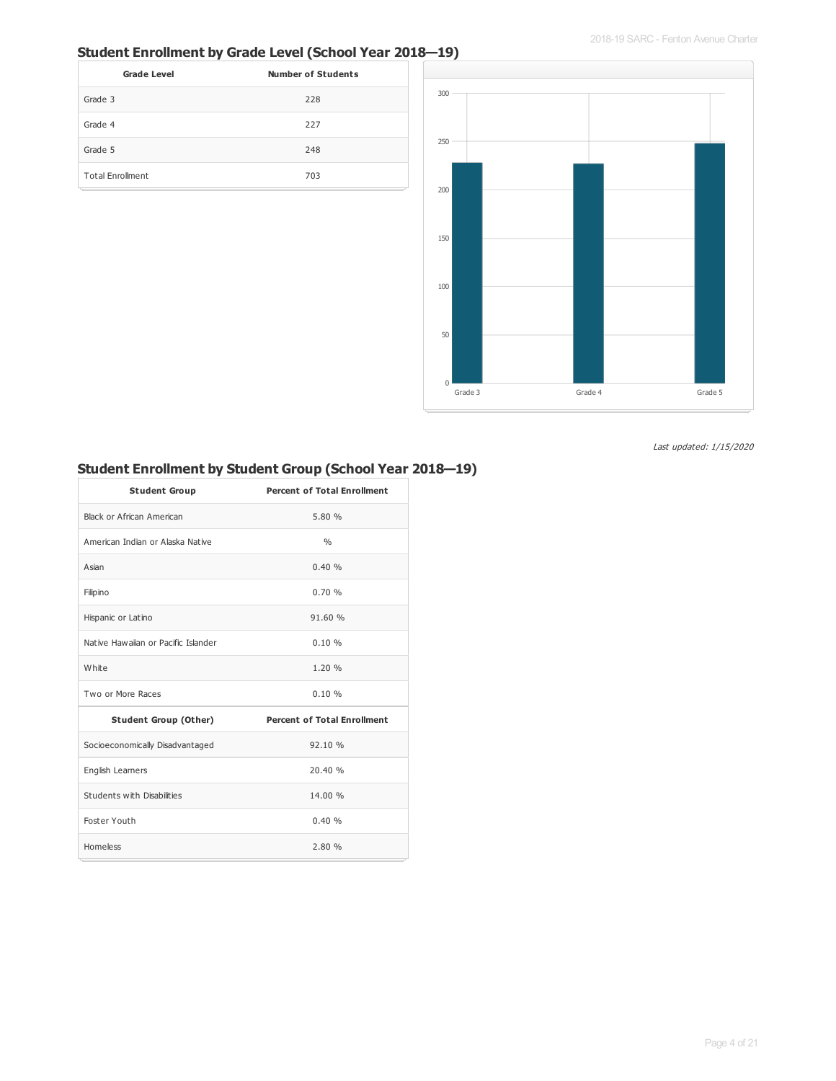## **Student Enrollment by Grade Level (School Year 2018—19)**

| <b>Number of Students</b> |
|---------------------------|
| 228                       |
| 227                       |
| 248                       |
| 703                       |
|                           |



Last updated: 1/15/2020

## **Student Enrollment by Student Group (School Year 2018—19)**

| <b>Student Group</b>                | <b>Percent of Total Enrollment</b> |
|-------------------------------------|------------------------------------|
| Black or African American           | 5.80 %                             |
| American Indian or Alaska Native    | $\frac{0}{0}$                      |
| Asian                               | 0.40%                              |
| Filipino                            | 0.70%                              |
| Hispanic or Latino                  | 91.60%                             |
| Native Hawaiian or Pacific Islander | $0.10 \%$                          |
| White                               | 1.20%                              |
| Two or More Races                   | 0.10%                              |
| <b>Student Group (Other)</b>        | <b>Percent of Total Enrollment</b> |
| Socioeconomically Disadvantaged     | 92.10%                             |
| English Learners                    | 20.40%                             |
| Students with Disabilities          | 14.00 %                            |
| Foster Youth                        | 0.40%                              |
| Homeless                            | 2.80 %                             |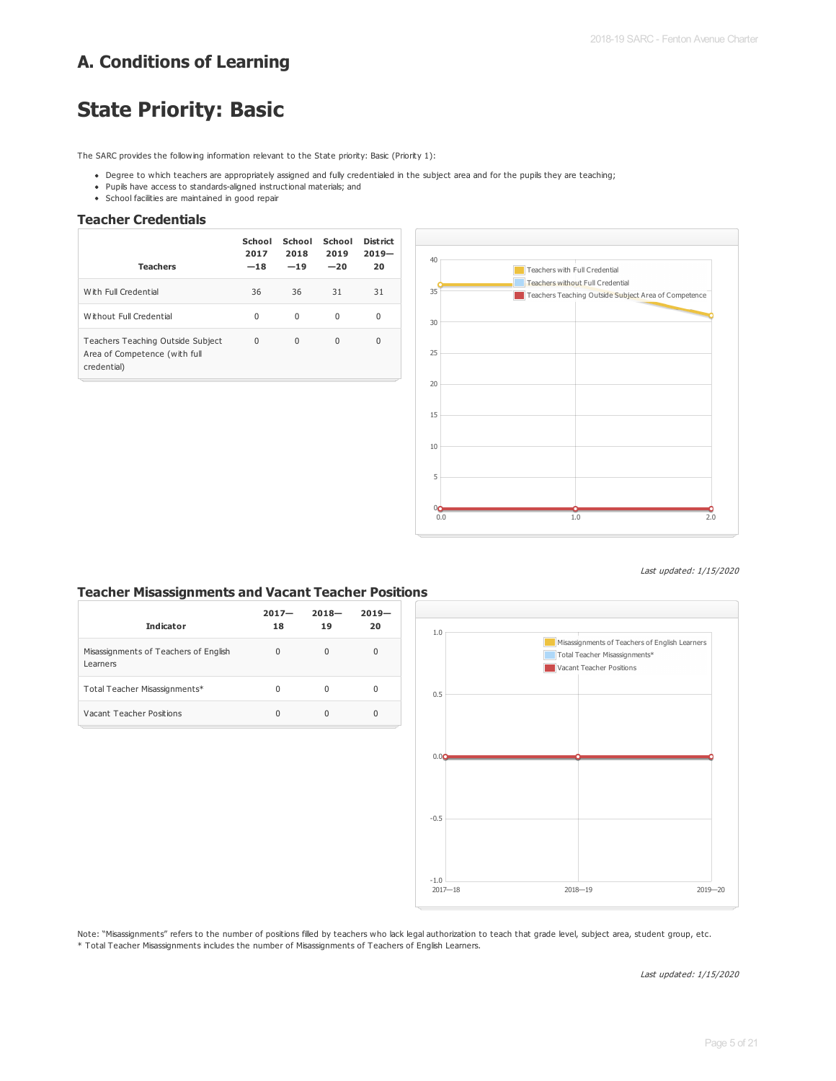## **A. Conditions of Learning**

# **State Priority: Basic**

The SARC provides the following information relevant to the State priority: Basic (Priority 1):

- Degree to which teachers are appropriately assigned and fully credentialed in the subject area and for the pupils they are teaching;
- Pupils have access to standards-aligned instructional materials; and
- School facilities are maintained in good repair

#### **Teacher Credentials**

| <b>Teachers</b>                                                                   | School<br>2017<br>$-18$ | School<br>2018<br>$-19$ | School<br>2019<br>$-20$ | <b>District</b><br>$2019-$<br>20 |
|-----------------------------------------------------------------------------------|-------------------------|-------------------------|-------------------------|----------------------------------|
| With Full Credential                                                              | 36                      | 36                      | 31                      | 31                               |
| Without Full Credential                                                           | 0                       | $\Omega$                | $\Omega$                | 0                                |
| Teachers Teaching Outside Subject<br>Area of Competence (with full<br>credential) | $\Omega$                | $\Omega$                | $\Omega$                | $\Omega$                         |



Last updated: 1/15/2020

### **Teacher Misassignments and Vacant Teacher Positions**

| <b>Indicator</b>                                  | $2017 -$<br>18 | $2018 -$<br>19 | $2019-$<br>20 |
|---------------------------------------------------|----------------|----------------|---------------|
| Misassignments of Teachers of English<br>Learners | 0              | $\Omega$       | 0             |
| Total Teacher Misassignments*                     | 0              | O              | 0             |
| Vacant Teacher Positions                          | 0              |                | 0             |



Note: "Misassignments" refers to the number of positions filled by teachers who lack legal authorization to teach that grade level, subject area, student group, etc. \* Total Teacher Misassignments includes the number of Misassignments of Teachers of English Learners.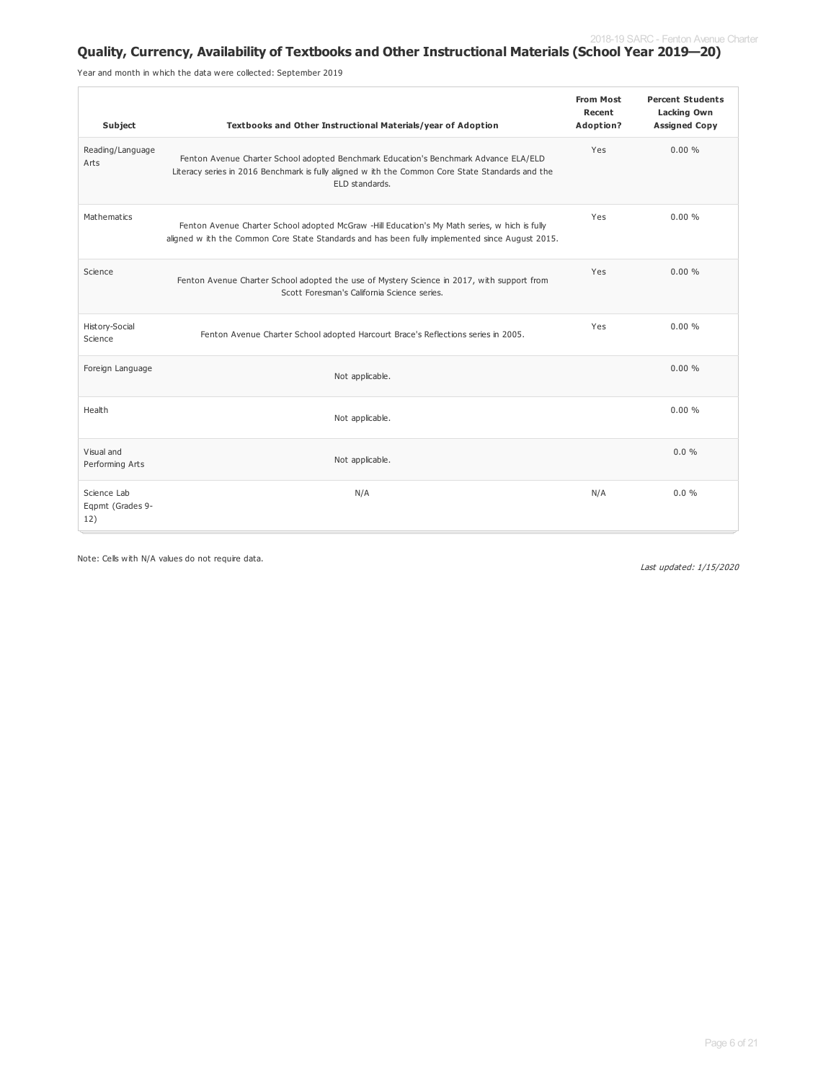### **Quality, Currency, Availability of Textbooks and Other Instructional Materials (School Year 2019—20)**

Year and month in which the data were collected: September 2019

| Subject                                | Textbooks and Other Instructional Materials/year of Adoption                                                                                                                                               | <b>From Most</b><br>Recent<br>Adoption? | <b>Percent Students</b><br>Lacking Own<br><b>Assigned Copy</b> |
|----------------------------------------|------------------------------------------------------------------------------------------------------------------------------------------------------------------------------------------------------------|-----------------------------------------|----------------------------------------------------------------|
| Reading/Language<br>Arts               | Fenton Avenue Charter School adopted Benchmark Education's Benchmark Advance ELA/ELD<br>Literacy series in 2016 Benchmark is fully aligned w ith the Common Core State Standards and the<br>ELD standards. | Yes                                     | 0.00%                                                          |
| Mathematics                            | Fenton Avenue Charter School adopted McGraw -Hill Education's My Math series, w hich is fully<br>aligned w ith the Common Core State Standards and has been fully implemented since August 2015.           | Yes                                     | 0.00%                                                          |
| Science                                | Fenton Avenue Charter School adopted the use of Mystery Science in 2017, with support from<br>Scott Foresman's California Science series.                                                                  | Yes                                     | 0.00%                                                          |
| History-Social<br>Science              | Fenton Avenue Charter School adopted Harcourt Brace's Reflections series in 2005.                                                                                                                          | Yes                                     | 0.00%                                                          |
| Foreign Language                       | Not applicable.                                                                                                                                                                                            |                                         | 0.00%                                                          |
| Health                                 | Not applicable.                                                                                                                                                                                            |                                         | 0.00%                                                          |
| Visual and<br>Performing Arts          | Not applicable.                                                                                                                                                                                            |                                         | $0.0\%$                                                        |
| Science Lab<br>Eqpmt (Grades 9-<br>12) | N/A                                                                                                                                                                                                        | N/A                                     | 0.0%                                                           |

Note: Cells with N/A values do not require data.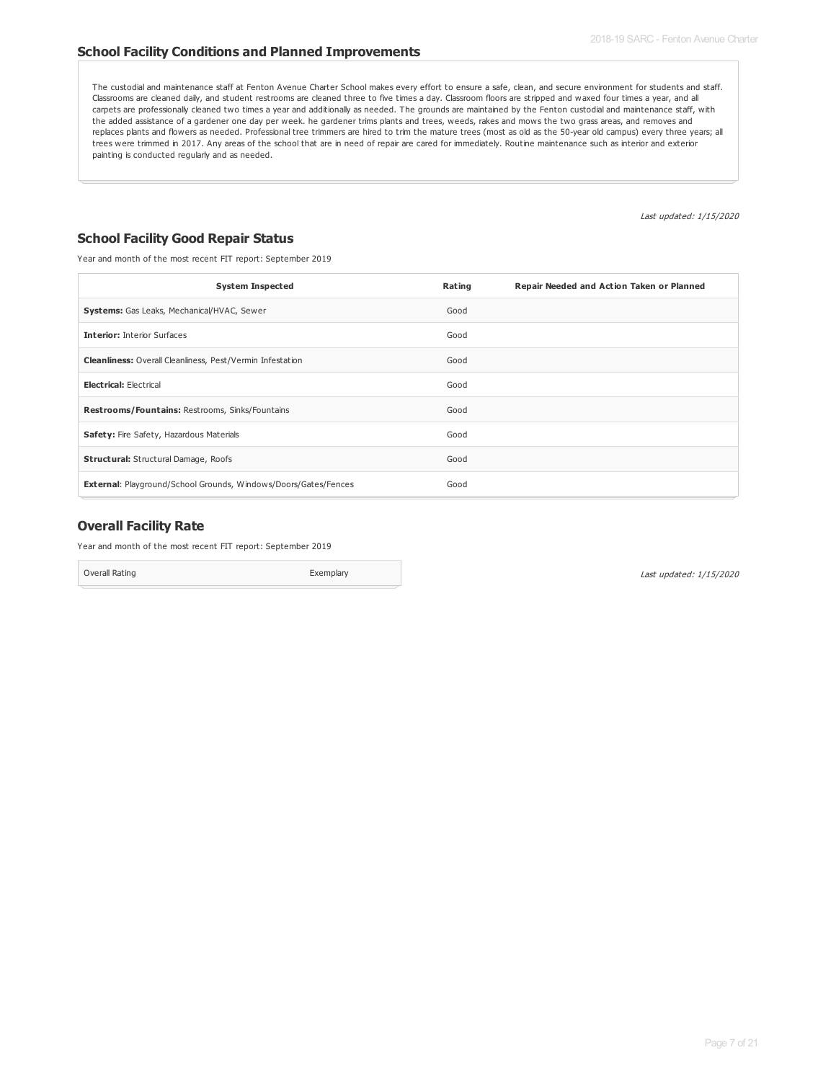## **School Facility Conditions and Planned Improvements**

The custodial and maintenance staff at Fenton Avenue Charter School makes every effort to ensure a safe, clean, and secure environment for students and staff. Classrooms are cleaned daily, and student restrooms are cleaned three to five times a day. Classroom floors are stripped and waxed four times a year, and all carpets are professionally cleaned two times a year and additionally as needed. The grounds are maintained by the Fenton custodial and maintenance staff, with the added assistance of a gardener one day per week. he gardener trims plants and trees, weeds, rakes and mows the two grass areas, and removes and replaces plants and flowers as needed. Professional tree trimmers are hired to trim the mature trees (most as old as the 50-year old campus) every three years; all trees were trimmed in 2017. Any areas of the school that are in need of repair are cared for immediately. Routine maintenance such as interior and exterior painting is conducted regularly and as needed.

Last updated: 1/15/2020

### **School Facility Good Repair Status**

Year and month of the most recent FIT report: September 2019

| <b>System Inspected</b>                                          | Rating | Repair Needed and Action Taken or Planned |
|------------------------------------------------------------------|--------|-------------------------------------------|
| <b>Systems:</b> Gas Leaks, Mechanical/HVAC, Sewer                | Good   |                                           |
| <b>Interior:</b> Interior Surfaces                               | Good   |                                           |
| <b>Cleanliness:</b> Overall Cleanliness, Pest/Vermin Infestation | Good   |                                           |
| <b>Electrical: Electrical</b>                                    | Good   |                                           |
| <b>Restrooms/Fountains: Restrooms, Sinks/Fountains</b>           | Good   |                                           |
| <b>Safety: Fire Safety, Hazardous Materials</b>                  | Good   |                                           |
| <b>Structural: Structural Damage, Roofs</b>                      | Good   |                                           |
| External: Playground/School Grounds, Windows/Doors/Gates/Fences  | Good   |                                           |

### **Overall Facility Rate**

Year and month of the most recent FIT report: September 2019

Overall Rating **Exemplary**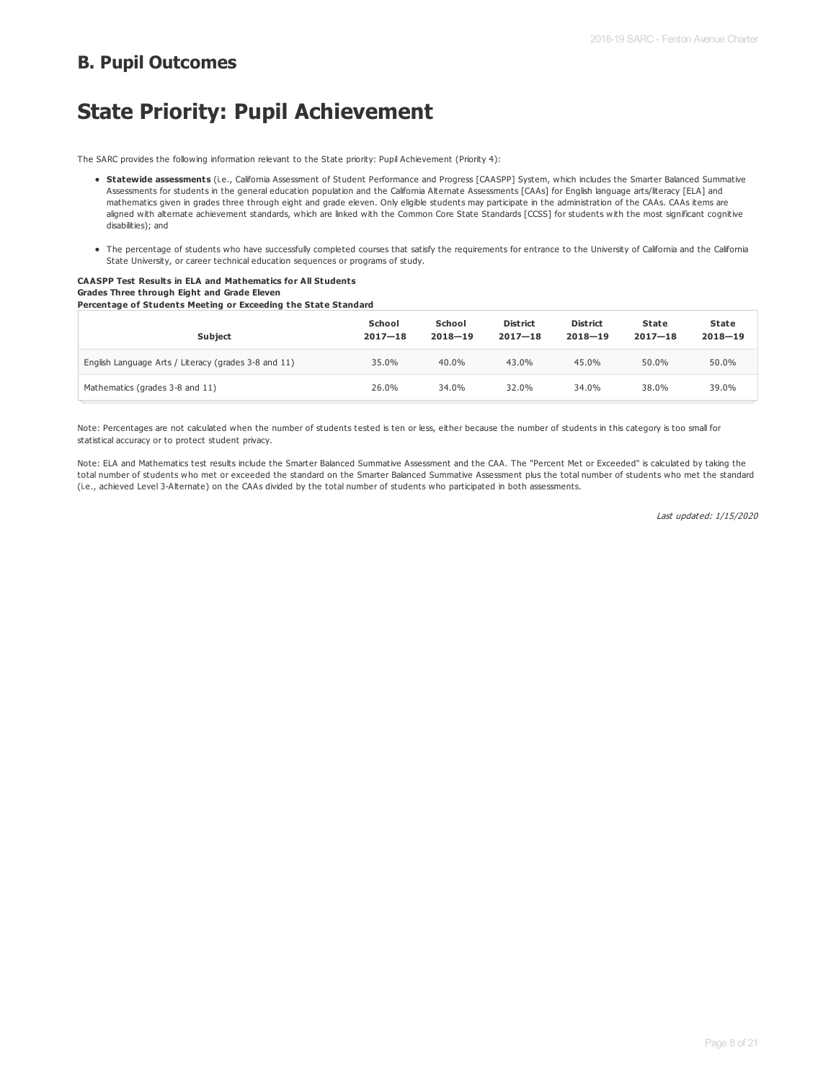## **B. Pupil Outcomes**

# **State Priority: Pupil Achievement**

The SARC provides the following information relevant to the State priority: Pupil Achievement (Priority 4):

- **Statewide assessments** (i.e., California Assessment of Student Performance and Progress [CAASPP] System, which includes the Smarter Balanced Summative Assessments for students in the general education population and the California Alternate Assessments [CAAs] for English language arts/literacy [ELA] and mathematics given in grades three through eight and grade eleven. Only eligible students may participate in the administration of the CAAs. CAAs items are aligned with alternate achievement standards, which are linked with the Common Core State Standards [CCSS] for students with the most significant cognitive disabilities); and
- The percentage of students who have successfully completed courses that satisfy the requirements for entrance to the University of California and the California State University, or career technical education sequences or programs of study.

#### **CAASPP Test Results in ELA and Mathematics for All Students Grades Three through Eight and Grade Eleven**

**Percentage of Students Meeting or Exceeding the State Standard**

| <b>Subject</b>                                       | School<br>$2017 - 18$ | School<br>$2018 - 19$ | <b>District</b><br>$2017 - 18$ | <b>District</b><br>$2018 - 19$ | <b>State</b><br>$2017 - 18$ | <b>State</b><br>$2018 - 19$ |
|------------------------------------------------------|-----------------------|-----------------------|--------------------------------|--------------------------------|-----------------------------|-----------------------------|
| English Language Arts / Literacy (grades 3-8 and 11) | 35.0%                 | 40.0%                 | 43.0%                          | 45.0%                          | 50.0%                       | 50.0%                       |
| Mathematics (grades 3-8 and 11)                      | 26.0%                 | 34.0%                 | 32.0%                          | 34.0%                          | 38.0%                       | 39.0%                       |

Note: Percentages are not calculated when the number of students tested is ten or less, either because the number of students in this category is too small for statistical accuracy or to protect student privacy.

Note: ELA and Mathematics test results include the Smarter Balanced Summative Assessment and the CAA. The "Percent Met or Exceeded" is calculated by taking the total number of students who met or exceeded the standard on the Smarter Balanced Summative Assessment plus the total number of students who met the standard (i.e., achieved Level 3-Alternate) on the CAAs divided by the total number of students who participated in both assessments.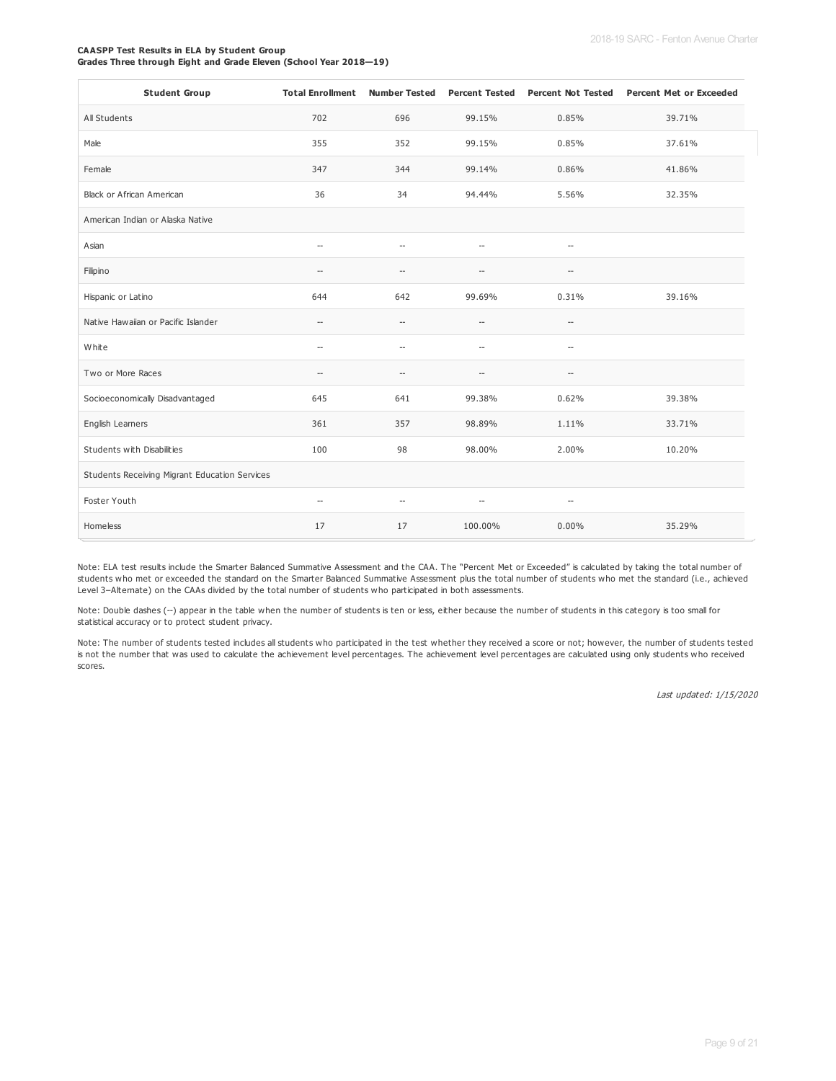#### **CAASPP Test Results in ELA by Student Group Grades Three through Eight and Grade Eleven (School Year 2018—19)**

| <b>Student Group</b>                          | <b>Total Enrollment</b>  | <b>Number Tested</b>        |                          |                          | Percent Tested Percent Not Tested Percent Met or Exceeded |
|-----------------------------------------------|--------------------------|-----------------------------|--------------------------|--------------------------|-----------------------------------------------------------|
| All Students                                  | 702                      | 696                         | 99.15%                   | 0.85%                    | 39.71%                                                    |
| Male                                          | 355                      | 352                         | 99.15%                   | 0.85%                    | 37.61%                                                    |
| Female                                        | 347                      | 344                         | 99.14%                   | 0.86%                    | 41.86%                                                    |
| <b>Black or African American</b>              | 36                       | 34                          | 94.44%                   | 5.56%                    | 32.35%                                                    |
| American Indian or Alaska Native              |                          |                             |                          |                          |                                                           |
| Asian                                         | $\overline{\phantom{a}}$ | $\overline{\phantom{a}}$    | $\hspace{0.05cm} -$      | $\overline{\phantom{a}}$ |                                                           |
| Filipino                                      | $\hspace{0.05cm} -$      | $\hspace{0.05cm} \ldots$    | $\overline{\phantom{a}}$ | $\overline{\phantom{a}}$ |                                                           |
| Hispanic or Latino                            | 644                      | 642                         | 99.69%                   | 0.31%                    | 39.16%                                                    |
| Native Hawaiian or Pacific Islander           | $\hspace{0.05cm} -$      | $\overline{\phantom{a}}$    | $\overline{\phantom{a}}$ | $\overline{\phantom{a}}$ |                                                           |
| White                                         | $\sim$                   | $\mathcal{L}_{\mathcal{A}}$ | $\sim$ $\sim$            | $\overline{\phantom{a}}$ |                                                           |
| Two or More Races                             | $\hspace{0.05cm} -$      | $\overline{\phantom{a}}$    | $\hspace{0.05cm} -$      | $\overline{\phantom{a}}$ |                                                           |
| Socioeconomically Disadvantaged               | 645                      | 641                         | 99.38%                   | 0.62%                    | 39.38%                                                    |
| English Learners                              | 361                      | 357                         | 98.89%                   | 1.11%                    | 33.71%                                                    |
| Students with Disabilities                    | 100                      | 98                          | 98.00%                   | 2.00%                    | 10.20%                                                    |
| Students Receiving Migrant Education Services |                          |                             |                          |                          |                                                           |
| Foster Youth                                  | $\overline{\phantom{a}}$ | $\overline{\phantom{a}}$    | $\overline{\phantom{a}}$ | $\overline{\phantom{a}}$ |                                                           |
| Homeless                                      | 17                       | 17                          | 100.00%                  | 0.00%                    | 35.29%                                                    |

Note: ELA test results include the Smarter Balanced Summative Assessment and the CAA. The "Percent Met or Exceeded" is calculated by taking the total number of students who met or exceeded the standard on the Smarter Balanced Summative Assessment plus the total number of students who met the standard (i.e., achieved Level 3-Alternate) on the CAAs divided by the total number of students who participated in both assessments.

Note: Double dashes (--) appear in the table when the number of students is ten or less, either because the number of students in this category is too small for statistical accuracy or to protect student privacy.

Note: The number of students tested includes all students who participated in the test whether they received a score or not; however, the number of students tested is not the number that was used to calculate the achievement level percentages. The achievement level percentages are calculated using only students who received scores.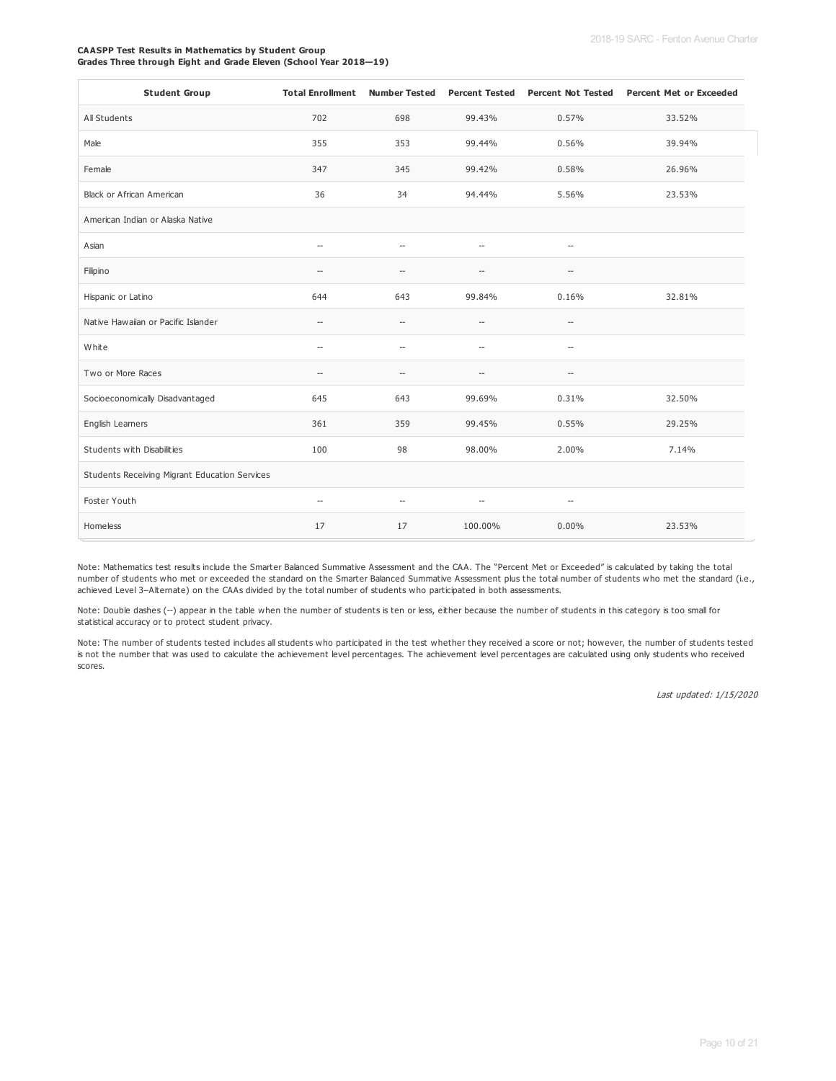#### **CAASPP Test Results in Mathematics by Student Group Grades Three through Eight and Grade Eleven (School Year 2018—19)**

| <b>Student Group</b>                          |                          |                          |                          |                          | Total Enrollment Number Tested Percent Tested Percent Not Tested Percent Met or Exceeded |
|-----------------------------------------------|--------------------------|--------------------------|--------------------------|--------------------------|------------------------------------------------------------------------------------------|
| All Students                                  | 702                      | 698                      | 99.43%                   | 0.57%                    | 33.52%                                                                                   |
| Male                                          | 355                      | 353                      | 99.44%                   | 0.56%                    | 39.94%                                                                                   |
| Female                                        | 347                      | 345                      | 99.42%                   | 0.58%                    | 26.96%                                                                                   |
| <b>Black or African American</b>              | 36                       | 34                       | 94.44%                   | 5.56%                    | 23.53%                                                                                   |
| American Indian or Alaska Native              |                          |                          |                          |                          |                                                                                          |
| Asian                                         | $\overline{\phantom{a}}$ | $\overline{\phantom{a}}$ | $\overline{\phantom{a}}$ | $\overline{\phantom{a}}$ |                                                                                          |
| Filipino                                      | $\hspace{0.05cm} -$      | $\overline{\phantom{a}}$ | $\hspace{0.05cm} -$      | $\overline{\phantom{a}}$ |                                                                                          |
| Hispanic or Latino                            | 644                      | 643                      | 99.84%                   | 0.16%                    | 32.81%                                                                                   |
| Native Hawaiian or Pacific Islander           | $\hspace{0.05cm} -$      | $\overline{\phantom{a}}$ | $\hspace{0.05cm} -$      | $\overline{\phantom{a}}$ |                                                                                          |
| White                                         | $\sim$                   | $\overline{\phantom{a}}$ | $\mathbf{u}$             | $\mathbf{u}$             |                                                                                          |
| Two or More Races                             | $\hspace{0.05cm} -$      | $\overline{\phantom{a}}$ | $\hspace{0.05cm} -$      | $\overline{\phantom{a}}$ |                                                                                          |
| Socioeconomically Disadvantaged               | 645                      | 643                      | 99.69%                   | 0.31%                    | 32.50%                                                                                   |
| English Learners                              | 361                      | 359                      | 99.45%                   | 0.55%                    | 29.25%                                                                                   |
| Students with Disabilities                    | 100                      | 98                       | 98.00%                   | 2.00%                    | 7.14%                                                                                    |
| Students Receiving Migrant Education Services |                          |                          |                          |                          |                                                                                          |
| Foster Youth                                  | $\hspace{0.05cm} -$      | $\overline{\phantom{a}}$ | $\qquad \qquad -$        | $\overline{\phantom{a}}$ |                                                                                          |
| Homeless                                      | 17                       | 17                       | 100.00%                  | 0.00%                    | 23.53%                                                                                   |

Note: Mathematics test results include the Smarter Balanced Summative Assessment and the CAA. The "Percent Met or Exceeded" is calculated by taking the total number of students who met or exceeded the standard on the Smarter Balanced Summative Assessment plus the total number of students who met the standard (i.e., achieved Level 3–Alternate) on the CAAs divided by the total number of students who participated in both assessments.

Note: Double dashes (--) appear in the table when the number of students is ten or less, either because the number of students in this category is too small for statistical accuracy or to protect student privacy.

Note: The number of students tested includes all students who participated in the test whether they received a score or not; however, the number of students tested is not the number that was used to calculate the achievement level percentages. The achievement level percentages are calculated using only students who received scores.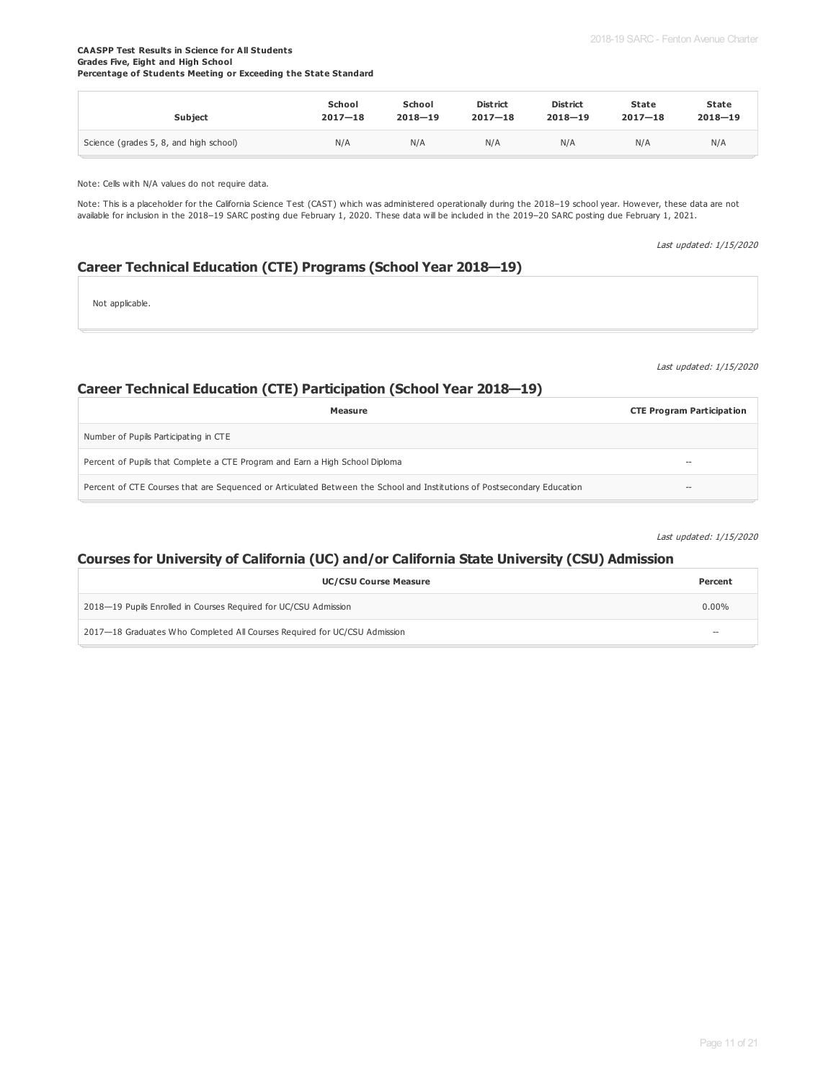#### **CAASPP Test Results in Science for All Students Grades Five, Eight and High School Percentage of Students Meeting or Exceeding the State Standard**

| <b>Subject</b>                         | School      | School      | <b>District</b> | <b>District</b> | <b>State</b> | <b>State</b> |
|----------------------------------------|-------------|-------------|-----------------|-----------------|--------------|--------------|
|                                        | $2017 - 18$ | $2018 - 19$ | $2017 - 18$     | $2018 - 19$     | $2017 - 18$  | $2018 - 19$  |
| Science (grades 5, 8, and high school) | N/A         | N/A         | N/A             | N/A             | N/A          | N/A          |

#### Note: Cells with N/A values do not require data.

Note: This is a placeholder for the California Science Test (CAST) which was administered operationally during the 2018–19 school year. However, these data are not available for inclusion in the 2018–19 SARC posting due February 1, 2020. These data will be included in the 2019–20 SARC posting due February 1, 2021.

Last updated: 1/15/2020

## **Career Technical Education (CTE) Programs (School Year 2018—19)**

Not applicable.

Last updated: 1/15/2020

### **Career Technical Education (CTE) Participation (School Year 2018—19)**

| Measure                                                                                                                 | <b>CTE Program Participation</b> |
|-------------------------------------------------------------------------------------------------------------------------|----------------------------------|
| Number of Pupils Participating in CTE                                                                                   |                                  |
| Percent of Pupils that Complete a CTE Program and Earn a High School Diploma                                            | $- -$                            |
| Percent of CTE Courses that are Sequenced or Articulated Between the School and Institutions of Postsecondary Education | $- -$                            |

Last updated: 1/15/2020

### **Courses for University of California (UC) and/or California State University (CSU) Admission**

| <b>UC/CSU Course Measure</b>                                              | Percent  |
|---------------------------------------------------------------------------|----------|
| 2018-19 Pupils Enrolled in Courses Required for UC/CSU Admission          | $0.00\%$ |
| 2017-18 Graduates Who Completed All Courses Required for UC/CSU Admission | $- -$    |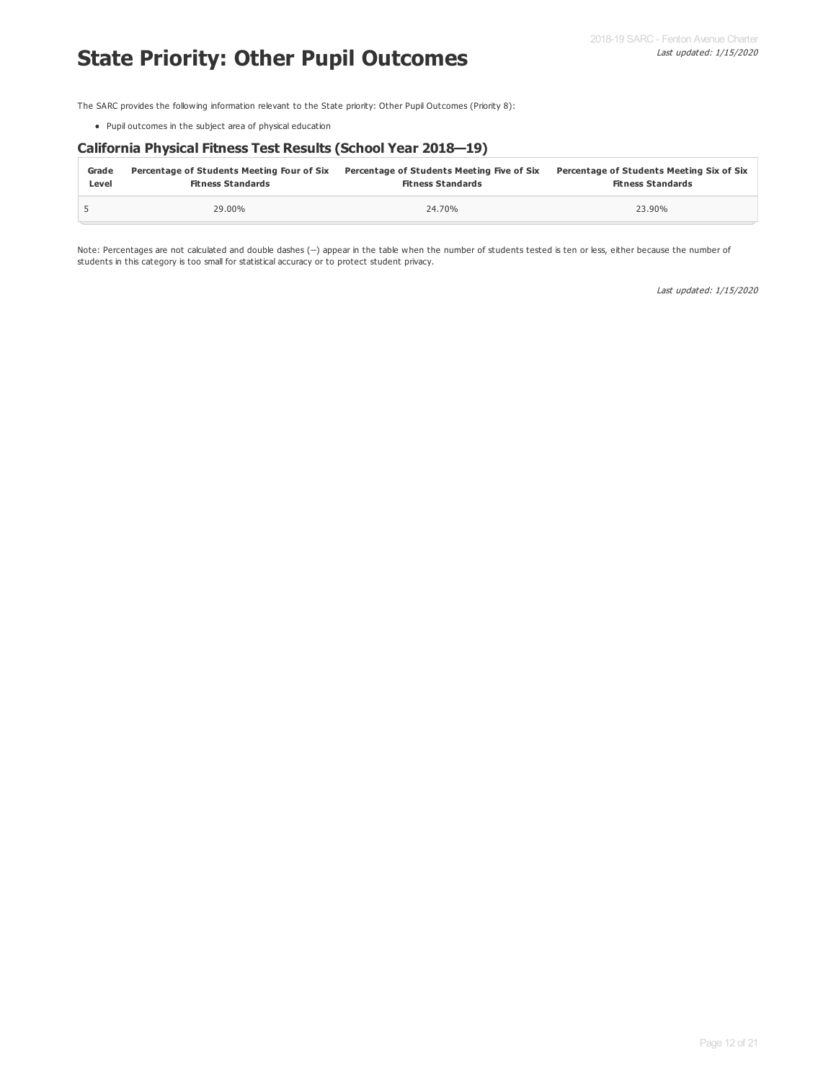# **State Priority: Other Pupil Outcomes**

The SARC provides the following information relevant to the State priority: Other Pupil Outcomes (Priority 8):

Pupil outcomes in the subject area of physical education

### **California Physical Fitness Test Results (School Year 2018—19)**

| Grade | Percentage of Students Meeting Four of Six | Percentage of Students Meeting Five of Six | Percentage of Students Meeting Six of Six |
|-------|--------------------------------------------|--------------------------------------------|-------------------------------------------|
| Level | <b>Fitness Standards</b>                   | <b>Fitness Standards</b>                   | <b>Fitness Standards</b>                  |
|       | 29.00%                                     | 24.70%                                     | 23.90%                                    |

Note: Percentages are not calculated and double dashes (--) appear in the table when the number of students tested is ten or less, either because the number of students in this category is too small for statistical accuracy or to protect student privacy.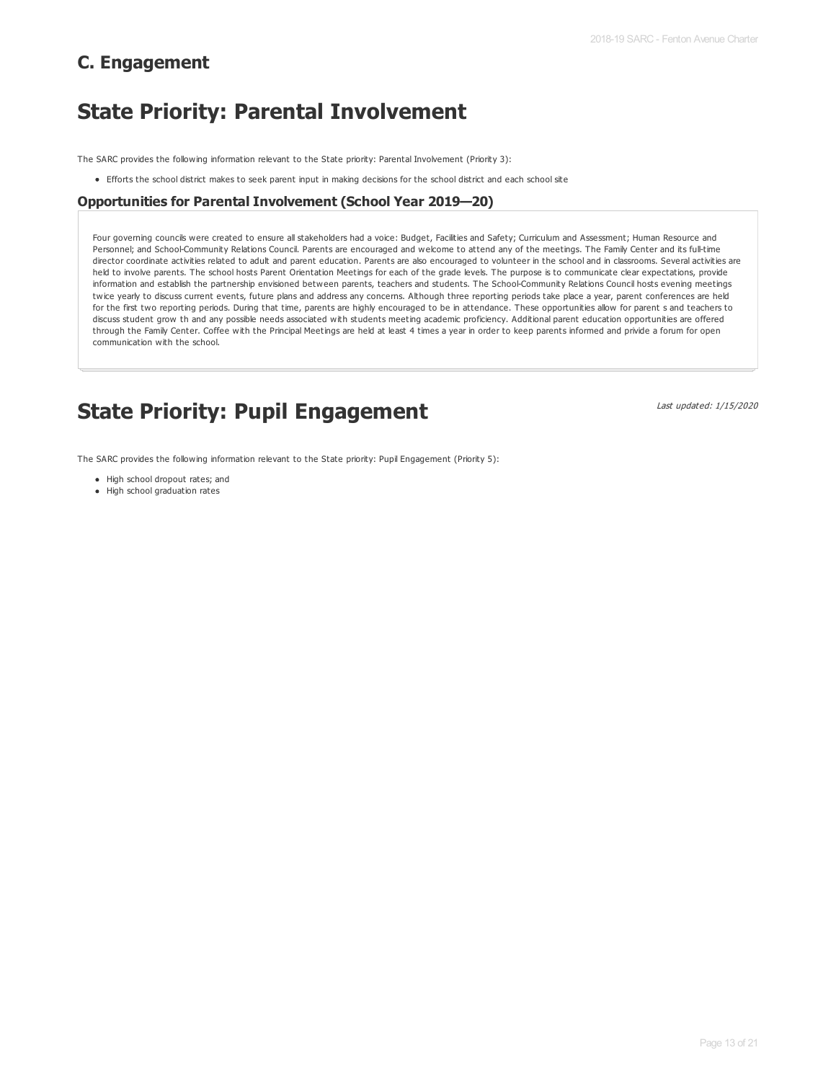## **C. Engagement**

# **State Priority: Parental Involvement**

The SARC provides the following information relevant to the State priority: Parental Involvement (Priority 3):

Efforts the school district makes to seek parent input in making decisions for the school district and each school site

### **Opportunities for Parental Involvement (School Year 2019—20)**

Four governing councils were created to ensure all stakeholders had a voice: Budget, Facilities and Safety; Curriculum and Assessment; Human Resource and Personnel; and School-Community Relations Council. Parents are encouraged and welcome to attend any of the meetings. The Family Center and its full-time director coordinate activities related to adult and parent education. Parents are also encouraged to volunteer in the school and in classrooms. Several activities are held to involve parents. The school hosts Parent Orientation Meetings for each of the grade levels. The purpose is to communicate clear expectations, provide information and establish the partnership envisioned between parents, teachers and students. The School-Community Relations Council hosts evening meetings twice yearly to discuss current events, future plans and address any concerns. Although three reporting periods take place a year, parent conferences are held for the first two reporting periods. During that time, parents are highly encouraged to be in attendance. These opportunities allow for parent s and teachers to discuss student grow th and any possible needs associated with students meeting academic proficiency. Additional parent education opportunities are offered through the Family Center. Coffee with the Principal Meetings are held at least 4 times a year in order to keep parents informed and privide a forum for open communication with the school.

# **State Priority: Pupil Engagement**

Last updated: 1/15/2020

The SARC provides the following information relevant to the State priority: Pupil Engagement (Priority 5):

- High school dropout rates; and
- High school graduation rates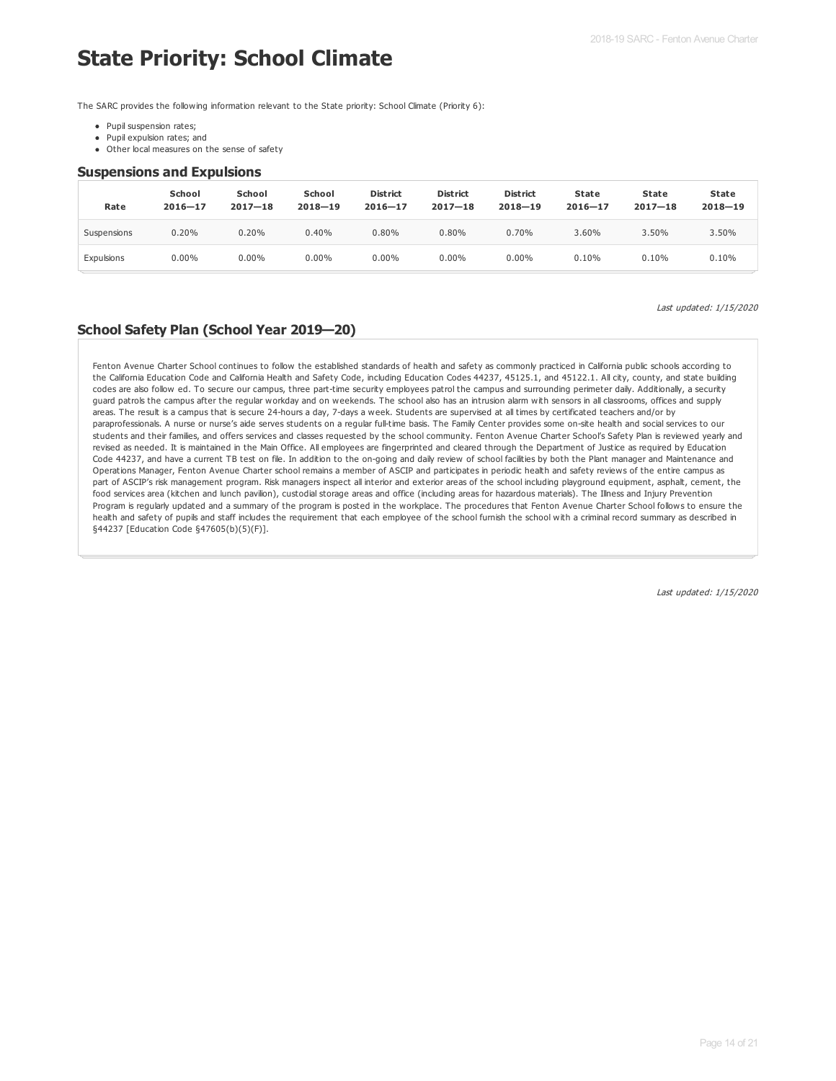# **State Priority: School Climate**

The SARC provides the following information relevant to the State priority: School Climate (Priority 6):

- Pupil suspension rates;
- Pupil expulsion rates; and
- Other local measures on the sense of safety

### **Suspensions and Expulsions**

| Rate        | School<br>$2016 - 17$ | <b>School</b><br>$2017 - 18$ | School<br>$2018 - 19$ | <b>District</b><br>$2016 - 17$ | <b>District</b><br>$2017 - 18$ | <b>District</b><br>$2018 - 19$ | <b>State</b><br>$2016 - 17$ | <b>State</b><br>$2017 - 18$ | <b>State</b><br>$2018 - 19$ |
|-------------|-----------------------|------------------------------|-----------------------|--------------------------------|--------------------------------|--------------------------------|-----------------------------|-----------------------------|-----------------------------|
| Suspensions | 0.20%                 | 0.20%                        | 0.40%                 | 0.80%                          | 0.80%                          | 0.70%                          | 3.60%                       | 3.50%                       | 3.50%                       |
| Expulsions  | $0.00\%$              | $0.00\%$                     | $0.00\%$              | $0.00\%$                       | $0.00\%$                       | $0.00\%$                       | 0.10%                       | 0.10%                       | 0.10%                       |

Last updated: 1/15/2020

### **School Safety Plan (School Year 2019—20)**

Fenton Avenue Charter School continues to follow the established standards of health and safety as commonly practiced in California public schools according to the California Education Code and California Health and Safety Code, including Education Codes 44237, 45125.1, and 45122.1. All city, county, and state building codes are also follow ed. To secure our campus, three part-time security employees patrol the campus and surrounding perimeter daily. Additionally, a security guard patrols the campus after the regular workday and on weekends. The school also has an intrusion alarm with sensors in all classrooms, offices and supply areas. The result is a campus that is secure 24-hours a day, 7-days a week. Students are supervised at all times by certificated teachers and/or by paraprofessionals. A nurse or nurse's aide serves students on a regular full-time basis. The Family Center provides some on-site health and social services to our students and their families, and offers services and classes requested by the school community. Fenton Avenue Charter School's Safety Plan is reviewed yearly and revised as needed. It is maintained in the Main Office. All employees are fingerprinted and cleared through the Department of Justice as required by Education Code 44237, and have a current TB test on file. In addition to the on-going and daily review of school facilities by both the Plant manager and Maintenance and Operations Manager, Fenton Avenue Charter school remains a member of ASCIP and participates in periodic health and safety reviews of the entire campus as part of ASCIP's risk management program. Risk managers inspect all interior and exterior areas of the school including playground equipment, asphalt, cement, the food services area (kitchen and lunch pavilion), custodial storage areas and office (including areas for hazardous materials). The Illness and Injury Prevention Program is regularly updated and a summary of the program is posted in the workplace. The procedures that Fenton Avenue Charter School follows to ensure the health and safety of pupils and staff includes the requirement that each employee of the school furnish the school with a criminal record summary as described in §44237 [Education Code §47605(b)(5)(F)].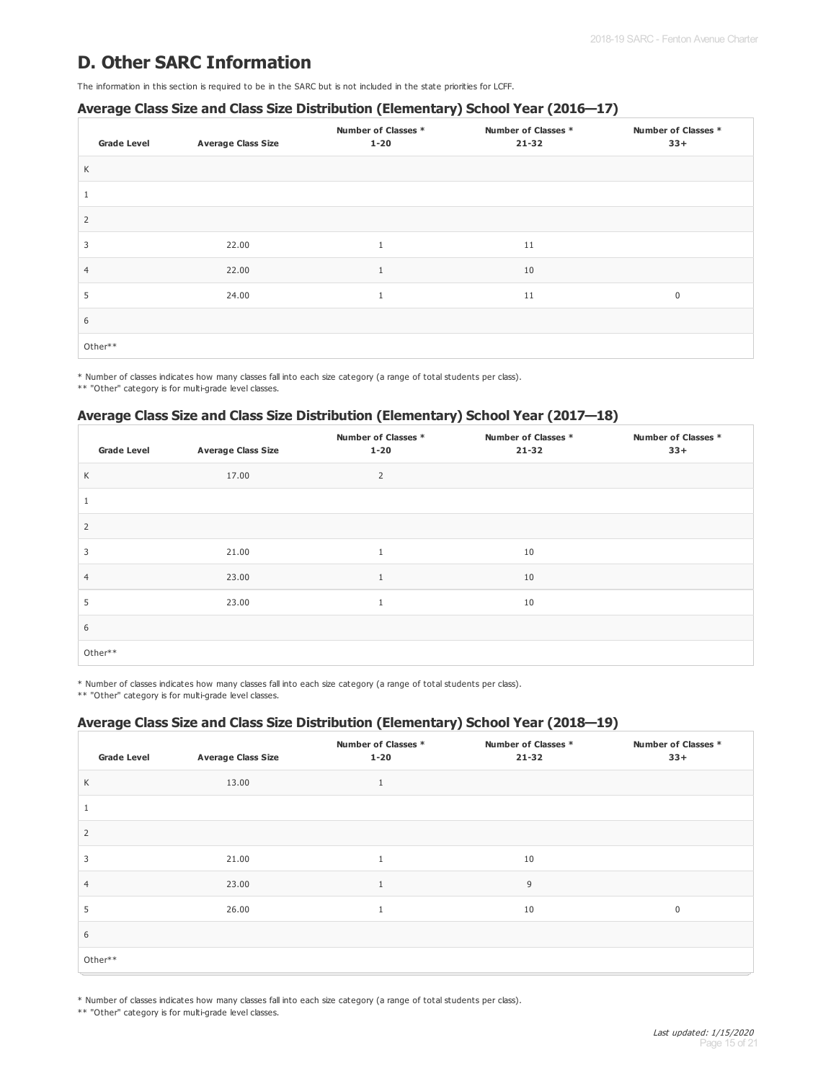## **D. Other SARC Information**

The information in this section is required to be in the SARC but is not included in the state priorities for LCFF.

### **Average Class Size and Class Size Distribution (Elementary) School Year (2016—17)**

| <b>Grade Level</b> | <b>Average Class Size</b> | Number of Classes *<br>$1 - 20$ | Number of Classes *<br>$21 - 32$ | Number of Classes *<br>$33+$ |
|--------------------|---------------------------|---------------------------------|----------------------------------|------------------------------|
| K                  |                           |                                 |                                  |                              |
|                    |                           |                                 |                                  |                              |
| $\overline{2}$     |                           |                                 |                                  |                              |
| 3                  | 22.00                     | 1                               | 11                               |                              |
| $\overline{4}$     | 22.00                     | $\mathbf{1}$                    | 10                               |                              |
| 5                  | 24.00                     | 1                               | 11                               | 0                            |
| 6                  |                           |                                 |                                  |                              |
| Other**            |                           |                                 |                                  |                              |

\* Number of classes indicates how many classes fall into each size category (a range of total students per class).

\*\* "Other" category is for multi-grade level classes.

### **Average Class Size and Class Size Distribution (Elementary) School Year (2017—18)**

| <b>Grade Level</b> | <b>Average Class Size</b> | Number of Classes *<br>$1 - 20$ | Number of Classes *<br>$21 - 32$ | Number of Classes *<br>$33+$ |
|--------------------|---------------------------|---------------------------------|----------------------------------|------------------------------|
| К                  | 17.00                     | $\overline{2}$                  |                                  |                              |
| 1                  |                           |                                 |                                  |                              |
| $\overline{2}$     |                           |                                 |                                  |                              |
| 3                  | 21.00                     | $\mathbf{1}$                    | 10                               |                              |
| $\overline{4}$     | 23.00                     | $\mathbf{1}$                    | 10                               |                              |
| 5                  | 23.00                     | 1                               | 10                               |                              |
| 6                  |                           |                                 |                                  |                              |
| Other**            |                           |                                 |                                  |                              |

\* Number of classes indicates how many classes fall into each size category (a range of total students per class).

\*\* "Other" category is for multi-grade level classes.

### **Average Class Size and Class Size Distribution (Elementary) School Year (2018—19)**

| <b>Grade Level</b> | <b>Average Class Size</b> | Number of Classes *<br>$1 - 20$ | Number of Classes *<br>$21 - 32$ | Number of Classes *<br>$33+$ |
|--------------------|---------------------------|---------------------------------|----------------------------------|------------------------------|
| K                  | 13.00                     | $\mathbf{1}$                    |                                  |                              |
| 1                  |                           |                                 |                                  |                              |
| 2                  |                           |                                 |                                  |                              |
| 3                  | 21.00                     | $\mathbf{1}$                    | 10                               |                              |
| $\overline{4}$     | 23.00                     | $\mathbf{1}$                    | 9                                |                              |
| 5                  | 26.00                     | $\mathbf{1}$                    | 10                               | 0                            |
| 6                  |                           |                                 |                                  |                              |
| Other**            |                           |                                 |                                  |                              |

\* Number of classes indicates how many classes fall into each size category (a range of total students per class).

\*\* "Other" category is for multi-grade level classes.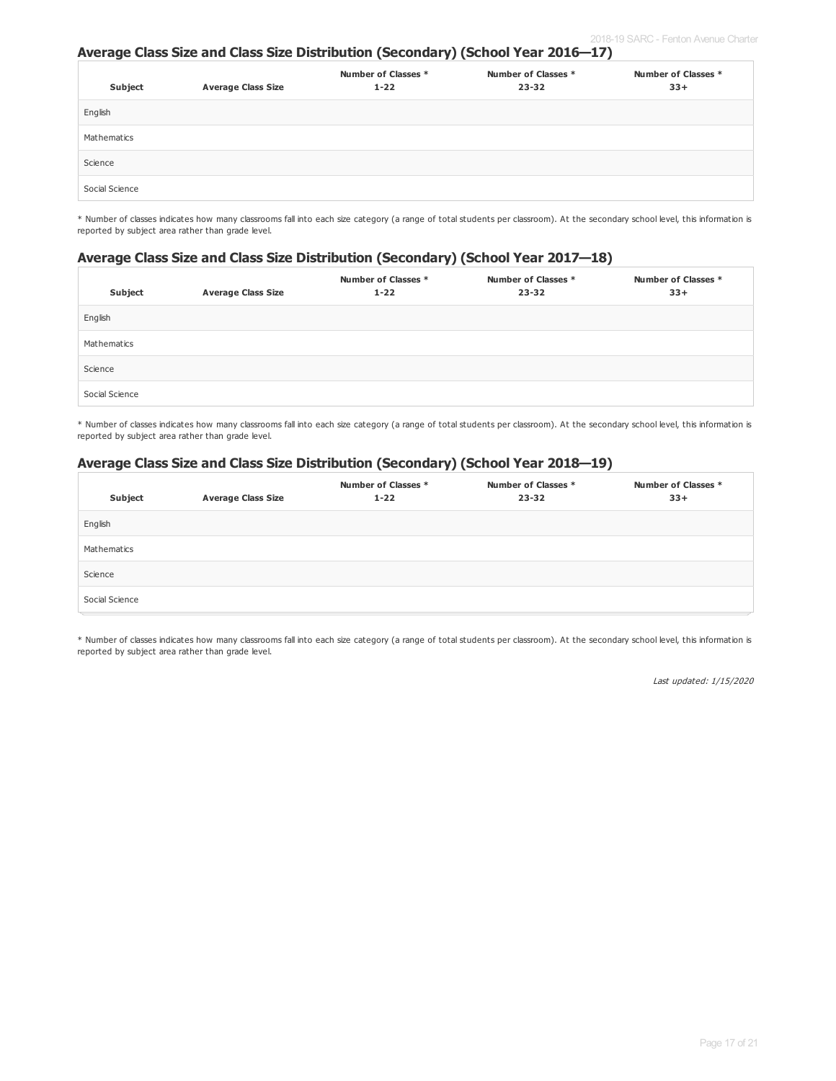## **Average Class Size and Class Size Distribution (Secondary) (School Year 2016—17)**

|                |                           | Number of Classes * | Number of Classes * | Number of Classes * |
|----------------|---------------------------|---------------------|---------------------|---------------------|
| Subject        | <b>Average Class Size</b> | $1 - 22$            | $23 - 32$           | $33+$               |
| English        |                           |                     |                     |                     |
| Mathematics    |                           |                     |                     |                     |
| Science        |                           |                     |                     |                     |
| Social Science |                           |                     |                     |                     |

\* Number of classes indicates how many classrooms fall into each size category (a range of total students per classroom). At the secondary school level, this information is reported by subject area rather than grade level.

### **Average Class Size and Class Size Distribution (Secondary) (School Year 2017—18)**

| Subject        | <b>Average Class Size</b> | Number of Classes *<br>$1 - 22$ | Number of Classes *<br>23-32 | Number of Classes *<br>$33+$ |
|----------------|---------------------------|---------------------------------|------------------------------|------------------------------|
| English        |                           |                                 |                              |                              |
| Mathematics    |                           |                                 |                              |                              |
| Science        |                           |                                 |                              |                              |
| Social Science |                           |                                 |                              |                              |

\* Number of classes indicates how many classrooms fall into each size category (a range of total students per classroom). At the secondary school level, this information is reported by subject area rather than grade level.

### **Average Class Size and Class Size Distribution (Secondary) (School Year 2018—19)**

| Subject        | <b>Average Class Size</b> | Number of Classes *<br>$1 - 22$ | Number of Classes *<br>23-32 | Number of Classes *<br>$33+$ |
|----------------|---------------------------|---------------------------------|------------------------------|------------------------------|
| English        |                           |                                 |                              |                              |
| Mathematics    |                           |                                 |                              |                              |
| Science        |                           |                                 |                              |                              |
| Social Science |                           |                                 |                              |                              |

\* Number of classes indicates how many classrooms fall into each size category (a range of total students per classroom). At the secondary school level, this information is reported by subject area rather than grade level.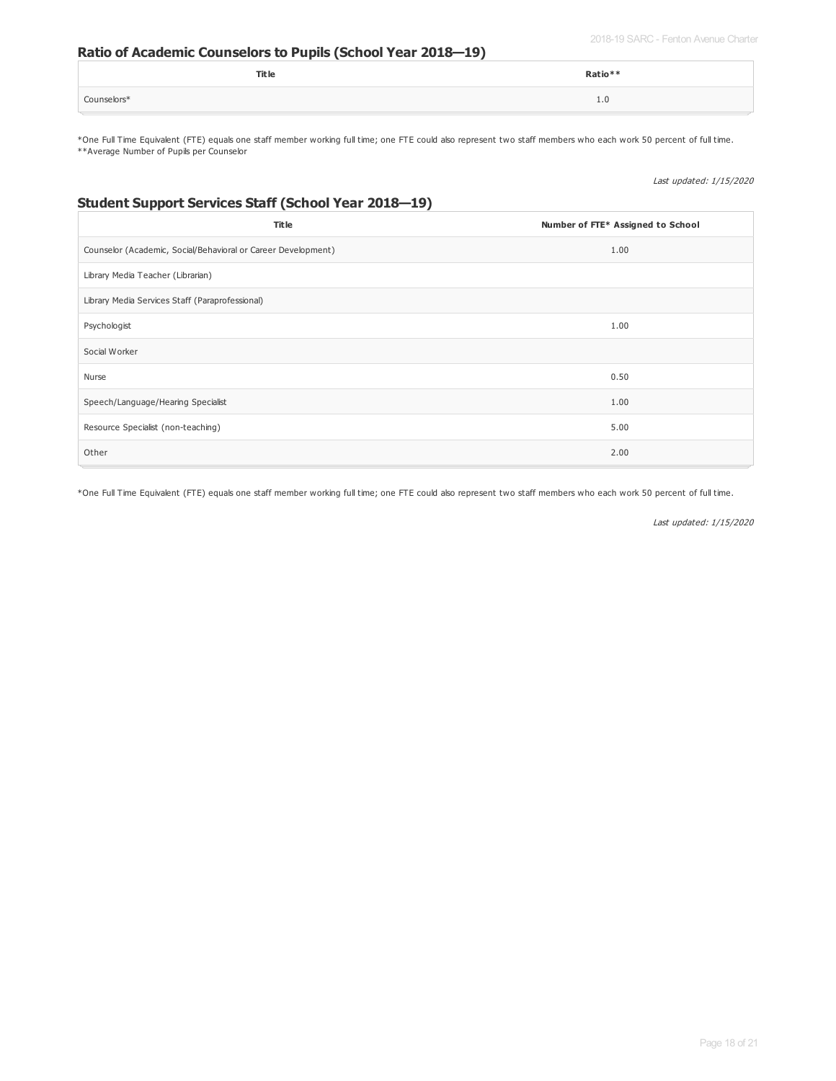### **Ratio of Academic Counselors to Pupils (School Year 2018—19)**

|             | <b>Title</b> | Ratio** |
|-------------|--------------|---------|
| Counselors* |              | 1.0     |

\*One Full Time Equivalent (FTE) equals one staff member working full time; one FTE could also represent two staff members who each work 50 percent of full time. \*\*Average Number of Pupils per Counselor

Last updated: 1/15/2020

## **Student Support Services Staff (School Year 2018—19)**

| <b>Title</b>                                                  | Number of FTE* Assigned to School |  |  |
|---------------------------------------------------------------|-----------------------------------|--|--|
| Counselor (Academic, Social/Behavioral or Career Development) | 1.00                              |  |  |
| Library Media Teacher (Librarian)                             |                                   |  |  |
| Library Media Services Staff (Paraprofessional)               |                                   |  |  |
| Psychologist                                                  | 1.00                              |  |  |
| Social Worker                                                 |                                   |  |  |
| Nurse                                                         | 0.50                              |  |  |
| Speech/Language/Hearing Specialist                            | 1.00                              |  |  |
| Resource Specialist (non-teaching)                            | 5.00                              |  |  |
| Other                                                         | 2.00                              |  |  |

\*One Full Time Equivalent (FTE) equals one staff member working full time; one FTE could also represent two staff members who each work 50 percent of full time.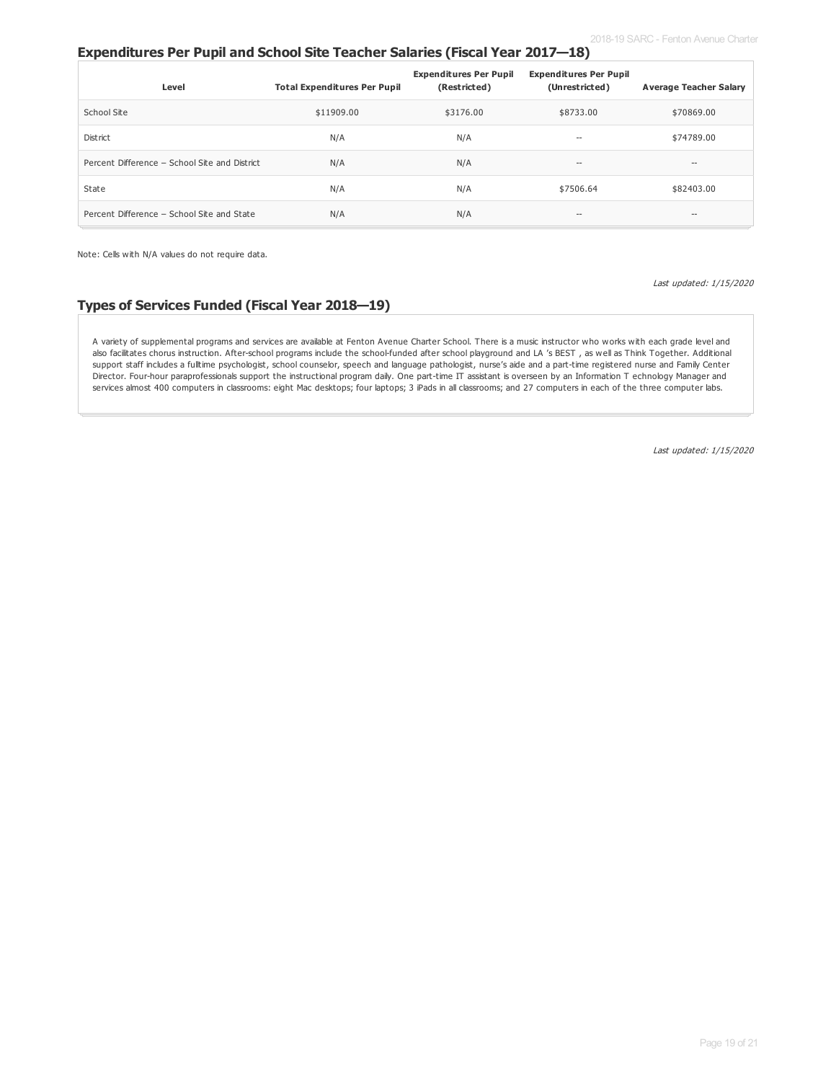## **Expenditures Per Pupil and School Site Teacher Salaries (Fiscal Year 2017—18)**

| Level                                         | <b>Total Expenditures Per Pupil</b> | <b>Expenditures Per Pupil</b><br>(Restricted) | <b>Expenditures Per Pupil</b><br>(Unrestricted) | <b>Average Teacher Salary</b> |
|-----------------------------------------------|-------------------------------------|-----------------------------------------------|-------------------------------------------------|-------------------------------|
| School Site                                   | \$11909.00                          | \$3176.00                                     | \$8733.00                                       | \$70869.00                    |
| District                                      | N/A                                 | N/A                                           | $\overline{\phantom{m}}$                        | \$74789.00                    |
| Percent Difference - School Site and District | N/A                                 | N/A                                           | $- -$                                           | --                            |
| State                                         | N/A                                 | N/A                                           | \$7506.64                                       | \$82403.00                    |
| Percent Difference - School Site and State    | N/A                                 | N/A                                           | $\sim$                                          | $- -$                         |

Note: Cells with N/A values do not require data.

Last updated: 1/15/2020

### **Types of Services Funded (Fiscal Year 2018—19)**

A variety of supplemental programs and services are available at Fenton Avenue Charter School. There is a music instructor who works with each grade level and also facilitates chorus instruction. After-school programs include the school-funded after school playground and LA 's BEST , as well as Think Together. Additional support staff includes a fulltime psychologist, school counselor, speech and language pathologist, nurse's aide and a part-time registered nurse and Family Center Director. Four-hour paraprofessionals support the instructional program daily. One part-time IT assistant is overseen by an Information T echnology Manager and services almost 400 computers in classrooms: eight Mac desktops; four laptops; 3 iPads in all classrooms; and 27 computers in each of the three computer labs.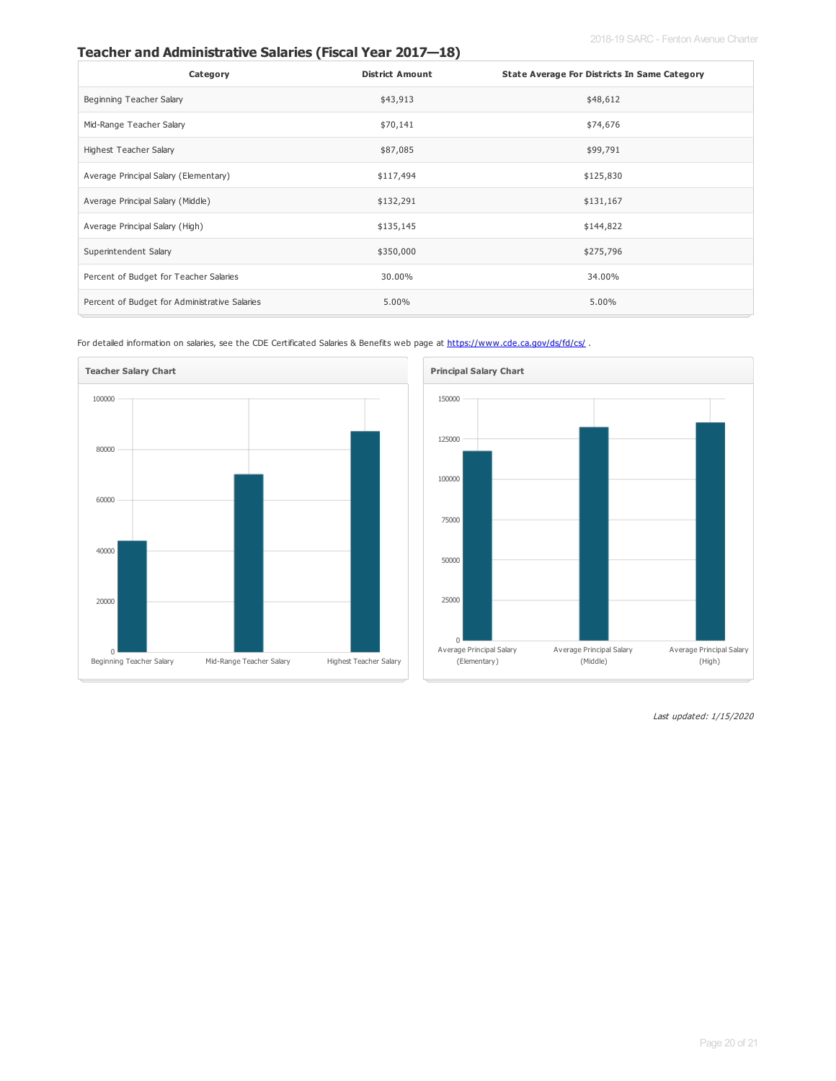## **Teacher and Administrative Salaries (Fiscal Year 2017—18)**

| Category                                      | <b>District Amount</b> | State Average For Districts In Same Category |
|-----------------------------------------------|------------------------|----------------------------------------------|
| Beginning Teacher Salary                      | \$43,913               | \$48,612                                     |
| Mid-Range Teacher Salary                      | \$70,141               | \$74,676                                     |
| <b>Highest Teacher Salary</b>                 | \$87,085               | \$99,791                                     |
| Average Principal Salary (Elementary)         | \$117,494              | \$125,830                                    |
| Average Principal Salary (Middle)             | \$132,291              | \$131,167                                    |
| Average Principal Salary (High)               | \$135,145              | \$144,822                                    |
| Superintendent Salary                         | \$350,000              | \$275,796                                    |
| Percent of Budget for Teacher Salaries        | 30.00%                 | 34.00%                                       |
| Percent of Budget for Administrative Salaries | 5.00%                  | 5.00%                                        |

For detailed information on salaries, see the CDE Certificated Salaries & Benefits web page at <https://www.cde.ca.gov/ds/fd/cs/> .